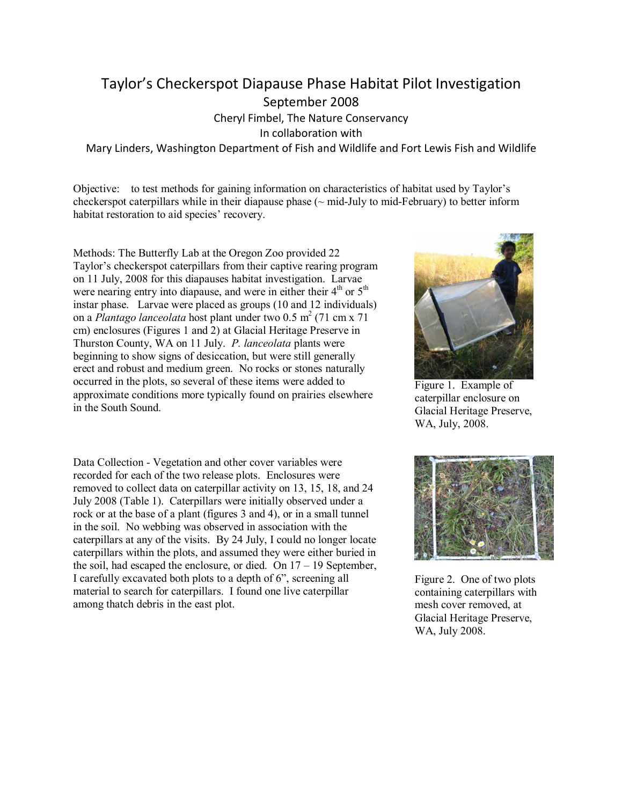## Taylor's Checkerspot Diapause Phase Habitat Pilot Investigation September 2008 Cheryl Fimbel, The Nature Conservancy In collaboration with Mary Linders, Washington Department of Fish and Wildlife and Fort Lewis Fish and Wildlife

Objective: to test methods for gaining information on characteristics of habitat used by Taylor's checkerspot caterpillars while in their diapause phase ( $\sim$  mid-July to mid-February) to better inform habitat restoration to aid species' recovery.

Methods: The Butterfly Lab at the Oregon Zoo provided 22 Taylor's checkerspot caterpillars from their captive rearing program on 11 July, 2008 for this diapauses habitat investigation. Larvae were nearing entry into diapause, and were in either their  $4<sup>th</sup>$  or  $5<sup>th</sup>$ instar phase. Larvae were placed as groups (10 and 12 individuals) on a *Plantago lanceolata* host plant under two 0.5 m<sup>2</sup> (71 cm x 71) cm) enclosures (Figures 1 and 2) at Glacial Heritage Preserve in Thurston County, WA on 11 July. *P. lanceolata* plants were beginning to show signs of desiccation, but were still generally erect and robust and medium green. No rocks or stones naturally occurred in the plots, so several of these items were added to approximate conditions more typically found on prairies elsewhere in the South Sound.

Data Collection - Vegetation and other cover variables were recorded for each of the two release plots. Enclosures were removed to collect data on caterpillar activity on 13, 15, 18, and 24 July 2008 (Table 1). Caterpillars were initially observed under a rock or at the base of a plant (figures 3 and 4), or in a small tunnel in the soil. No webbing was observed in association with the caterpillars at any of the visits. By 24 July, I could no longer locate caterpillars within the plots, and assumed they were either buried in the soil, had escaped the enclosure, or died. On 17 – 19 September, I carefully excavated both plots to a depth of 6", screening all material to search for caterpillars. I found one live caterpillar among thatch debris in the east plot.



Figure 1. Example of caterpillar enclosure on Glacial Heritage Preserve, WA, July, 2008.



Figure 2. One of two plots containing caterpillars with mesh cover removed, at Glacial Heritage Preserve, WA, July 2008.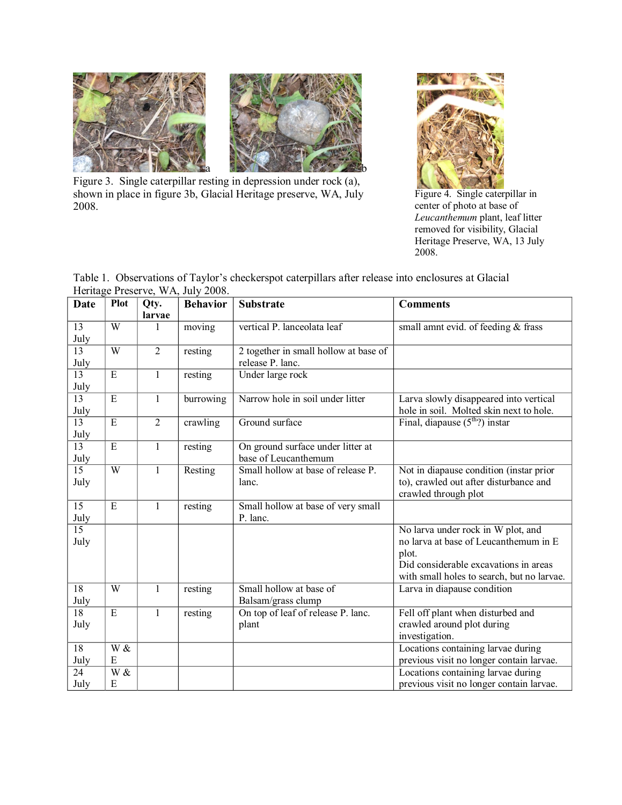

Figure 3. Single caterpillar resting in depression under rock (a), shown in place in figure 3b, Glacial Heritage preserve, WA, July 2008.



Figure 4. Single caterpillar in center of photo at base of *Leucanthemum* plant, leaf litter removed for visibility, Glacial Heritage Preserve, WA, 13 July 2008.

|                                   | Table 1. Observations of Taylor's checkerspot caterpillars after release into enclosures at Glacial |  |  |  |  |
|-----------------------------------|-----------------------------------------------------------------------------------------------------|--|--|--|--|
| Heritage Preserve, WA, July 2008. |                                                                                                     |  |  |  |  |

| <b>Date</b>             | <b>Plot</b>    | Qty.<br>larvae | <b>Behavior</b> | <b>Substrate</b>                                          | <b>Comments</b>                                                                                                                                                             |
|-------------------------|----------------|----------------|-----------------|-----------------------------------------------------------|-----------------------------------------------------------------------------------------------------------------------------------------------------------------------------|
| $\overline{13}$         | $\overline{W}$ |                | moving          | vertical P. lanceolata leaf                               | small amnt evid. of feeding & frass                                                                                                                                         |
| July<br>$\overline{13}$ |                |                |                 |                                                           |                                                                                                                                                                             |
| July                    | W              | $\overline{2}$ | resting         | 2 together in small hollow at base of<br>release P. lanc. |                                                                                                                                                                             |
| $\overline{13}$<br>July | $\overline{E}$ | $\mathbf{1}$   | resting         | Under large rock                                          |                                                                                                                                                                             |
| 13<br>July              | $\overline{E}$ | $\mathbf{1}$   | burrowing       | Narrow hole in soil under litter                          | Larva slowly disappeared into vertical<br>hole in soil. Molted skin next to hole.                                                                                           |
| $\overline{13}$<br>July | $\mathbf E$    | $\overline{2}$ | crawling        | Ground surface                                            | Final, diapause $(5th)$ instar                                                                                                                                              |
| 13<br>July              | E              | $\mathbf{1}$   | resting         | On ground surface under litter at<br>base of Leucanthemum |                                                                                                                                                                             |
| $\overline{15}$<br>July | $\overline{W}$ | $\mathbf{1}$   | Resting         | Small hollow at base of release P.<br>lanc.               | Not in diapause condition (instar prior<br>to), crawled out after disturbance and<br>crawled through plot                                                                   |
| 15<br>July              | $\overline{E}$ | $\mathbf{1}$   | resting         | Small hollow at base of very small<br>P. lanc.            |                                                                                                                                                                             |
| $\overline{15}$<br>July |                |                |                 |                                                           | No larva under rock in W plot, and<br>no larva at base of Leucanthemum in E<br>plot.<br>Did considerable excavations in areas<br>with small holes to search, but no larvae. |
| 18<br>July              | W              | $\mathbf{1}$   | resting         | Small hollow at base of<br>Balsam/grass clump             | Larva in diapause condition                                                                                                                                                 |
| $\overline{18}$<br>July | E              | $\mathbf{1}$   | resting         | On top of leaf of release P. lanc.<br>plant               | Fell off plant when disturbed and<br>crawled around plot during<br>investigation.                                                                                           |
| $\overline{18}$<br>July | W &<br>E       |                |                 |                                                           | Locations containing larvae during<br>previous visit no longer contain larvae.                                                                                              |
| 24<br>July              | W &<br>E       |                |                 |                                                           | Locations containing larvae during<br>previous visit no longer contain larvae.                                                                                              |